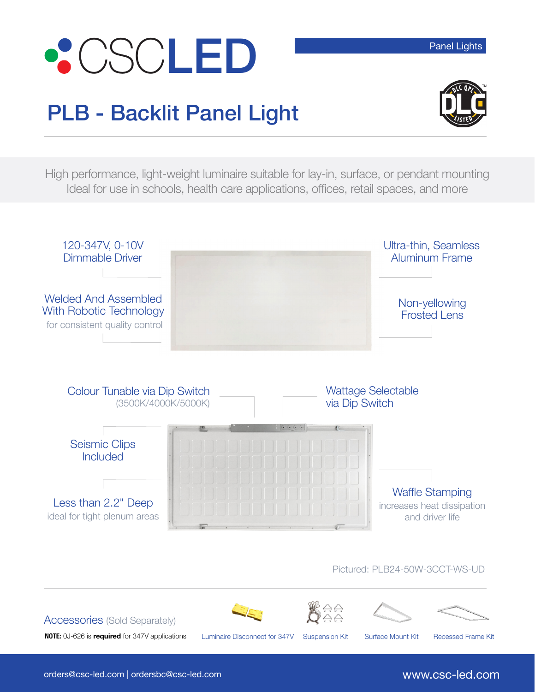



High performance, light-weight luminaire suitable for lay-in, surface, or pendant mounting Ideal for use in schools, health care applications, offices, retail spaces, and more